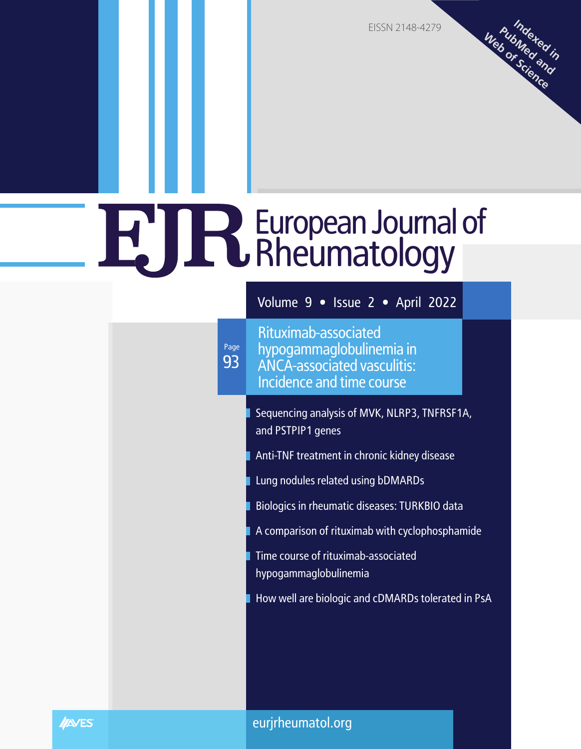EISSN 2148-4279

**Indexed in PubMed and Web of Science**

### European Journal of Rheumatology

Volume 9 • Issue 2 • April 2022

93 Page

Rituximab-associated hypogammaglobulinemia in ANCA-associated vasculitis: Incidence and time course

Sequencing analysis of MVK, NLRP3, TNFRSF1A, and PSTPIP1 genes

Anti-TNF treatment in chronic kidney disease

Lung nodules related using bDMARDs

Biologics in rheumatic diseases: TURKBIO data

A comparison of rituximab with cyclophosphamide

Time course of rituximab-associated hypogammaglobulinemia

How well are biologic and cDMARDs tolerated in PsA

**INAVES** 

eurjrheumatol.org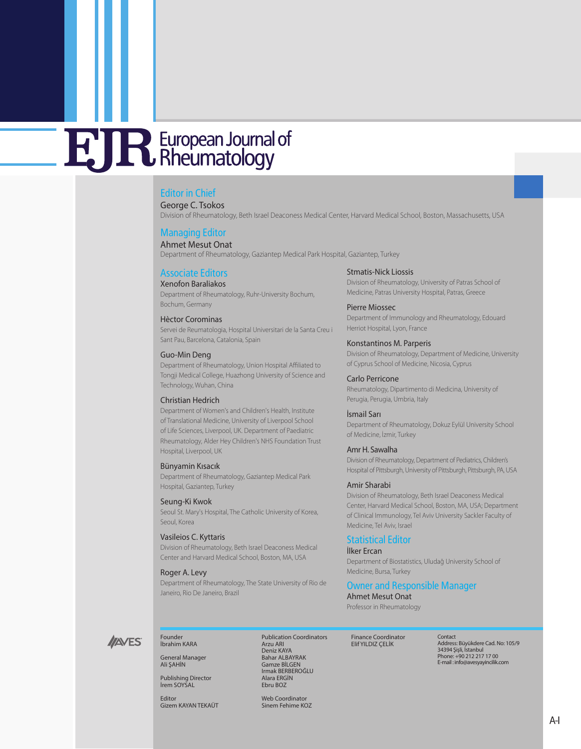#### Editor in Chief

George C. Tsokos

Division of Rheumatology, Beth Israel Deaconess Medical Center, Harvard Medical School, Boston, Massachusetts, USA

#### Managing Editor

Ahmet Mesut Onat Department of Rheumatology, Gaziantep Medical Park Hospital, Gaziantep, Turkey

#### Associate Editors

Xenofon Baraliakos

Department of Rheumatology, Ruhr-University Bochum, Bochum, Germany

#### Hèctor Corominas

Servei de Reumatologia, Hospital Universitari de la Santa Creu i Sant Pau, Barcelona, Catalonia, Spain

#### Guo-Min Deng

Department of Rheumatology, Union Hospital Affiliated to Tongji Medical College, Huazhong University of Science and Technology, Wuhan, China

#### Christian Hedrich

Department of Women's and Children's Health, Institute of Translational Medicine, University of Liverpool School of Life Sciences, Liverpool, UK. Department of Paediatric Rheumatology, Alder Hey Children's NHS Foundation Trust Hospital, Liverpool, UK

#### Bünyamin Kısacık

Department of Rheumatology, Gaziantep Medical Park Hospital, Gaziantep, Turkey

#### Seung-Ki Kwok

Seoul St. Mary's Hospital, The Catholic University of Korea, Seoul, Korea

#### Vasileios C. Kyttaris

Division of Rheumatology, Beth Israel Deaconess Medical Center and Harvard Medical School, Boston, MA, USA

#### Roger A. Levy

Department of Rheumatology, The State University of Rio de Janeiro, Rio De Janeiro, Brazil

#### Stmatis-Nick Liossis

Division of Rheumatology, University of Patras School of Medicine, Patras University Hospital, Patras, Greece

#### Pierre Miossec

Department of Immunology and Rheumatology, Edouard Herriot Hospital, Lyon, France

#### Κonstantinos M. Parperis

Division of Rheumatology, Department of Medicine, University of Cyprus School of Medicine, Nicosia, Cyprus

#### Carlo Perricone

Rheumatology, Dipartimento di Medicina, University of Perugia, Perugia, Umbria, Italy

#### İsmail Sarı

Department of Rheumatology, Dokuz Eylül University School of Medicine, İzmir, Turkey

#### Amr H. Sawalha

Division of Rheumatology, Department of Pediatrics, Children's Hospital of Pittsburgh, University of Pittsburgh, Pittsburgh, PA, USA

#### Amir Sharabi

Division of Rheumatology, Beth Israel Deaconess Medical Center, Harvard Medical School, Boston, MA, USA; Department of Clinical Immunology, Tel Aviv University Sackler Faculty of Medicine, Tel Aviv, Israel

#### Statistical Editor

#### İlker Ercan

Department of Biostatistics, Uludağ University School of Medicine, Bursa, Turkey

#### Owner and Responsible Manager

Ahmet Mesut Onat

Professor in Rheumatology

Finance Coordinator Elif YILDIZ ÇELİK

Contact Address: Büyükdere Cad. No: 105/9 34394 Şişli, İstanbul Phone: +90 212 217 17 00 E-mail : info@avesyayincilik.com

**INNES** 

#### İbrahim KARA General Manager Ali ŞAHİN

Founder

Publishing Director İrem SOYSAL

Editor Gizem KAYAN TEKAÜT Publication Coordinators Arzu ARI Deniz KAYA Bahar ALBAYRAK Gamze BİLGEN Irmak BERBEROĞLU Alara ERGİN Ebru BOZ

Web Coordinator Sinem Fehime KOZ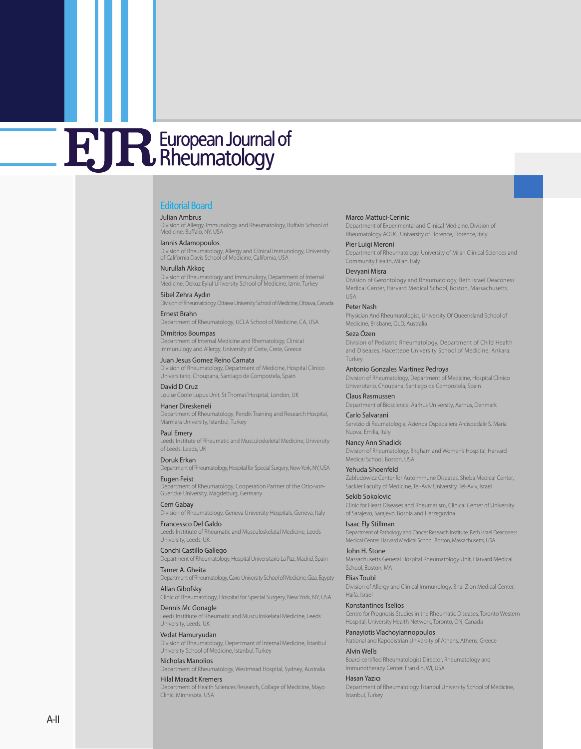#### Editorial Board

#### Julian Ambrus

Division of Allergy, Immunology and Rheumatology, Buffalo School of Medicine, Buffalo, NY, USA

Iannis Adamopoulos Division of Rheumatology, Allergy and Clinical Immunology, University of California Davis School of Medicine, California, USA

#### Nurullah Akkoç

Division of Rheumatology and Immunulogy, Department of Internal Medicine, Dokuz Eylul University School of Medicine, İzmir, Turkey

Sibel Zehra Aydın

Division of Rheumatology, Ottawa University School of Medicine, Ottawa, Canada Ernest Brahn

Department of Rheumatology, UCLA School of Medicine, CA, USA

Dimitrios Boumpas Department of Internal Medicine and Rhematology, Clinical Immunulogy and Allergy, University of Crete, Crete, Greece

Juan Jesus Gomez Reino Carnata Division of Rheumatology, Department of Medicine, Hospital Clinico Universitario, Choupana, Santiago de Compostela, Spain

David D Cruz Louise Coote Lupus Unit, St Thomas' Hospital, London, UK

Haner Direskeneli Department of Rheumatology, Pendik Training and Research Hospital, Marmara University, İstanbul, Turkey

Paul Emery Leeds Institute of Rheumatic and Musculoskeletal Medicine, University of Leeds, Leeds, UK

Doruk Erkan Department of Rheumatology, Hospital for Special Surgery, New York, NY, USA

Eugen Feist Department of Rheumatology, Cooperation Partner of the Otto-von-Guericke University, Magdeburg, Germany

Cem Gabay Division of Rheumatology, Geneva University Hospitals, Geneva, Italy

Francessco Del Galdo Leeds İnstitiute of Rheumatic and Musculoskelatal Medicine, Leeds University, Leeds, UK

Conchi Castillo Gallego Department of Rheumatology, Hospital Universitario La Paz, Madrid, Spain

Tamer A. Gheita

Department of Rheumatology, Cairo University School of Medicine, Giza, Egypty Allan Gibofsky

Clinic of Rheumatology, Hospital for Special Surgery, New York, NY, USA

Dennis Mc Gonagle Leeds Institiute of Rheumatic and Musculoskelatal Medicine, Leeds University, Leeds, UK

Vedat Hamuryudan

Division of Rheumatology, Depertmant of Internal Medicine, İstanbul University School of Medicine, İstanbul, Turkey

Nicholas Manolios

Department of Rheumatology, Westmead Hospital, Sydney, Australia Hilal Maradit Kremers

Department of Health Sciences Research, Collage of Medicine, Mayo Clinic, Minnesota, USA

#### Marco Mattuci-Cerinic

Department of Experimental and Clinical Medicine, Division of Rheumatology AOUC, University of Florence, Florence, Italy

Pier Luigi Meroni Department of Rheumatology, University of Milan Clinical Sciences and Community Health, Milan, Italy

Devyani Misra Division of Gerontology and Rheumatology, Beth Israel Deaconess Medical Center, Harvard Medical School, Boston, Massachusetts,

USA Peter Nash

Physician And Rheumatologist, University Of Queensland School of Medicine, Brisbane, QLD, Australia

Seza Özen Division of Pediatric Rheumatology, Department of Child Health and Diseases, Hacettepe University School of Medicine, Ankara, Turkey

Antonio Gonzales Martinez Pedroya Division of Rheumatology, Department of Medicine, Hospital Clinico Universitario, Choupana, Santiago de Compostela, Spain

Claus Rasmussen Department of Bioscience, Aarhus University, Aarhus, Denmark Carlo Salvarani Servizio di Reumatologia, Azienda Ospedaliera Arcispedale S. Maria

Nancy Ann Shadick Division of Rheumatology, Brigham and Women's Hospital, Harvard Medical School, Boston, USA

Yehuda Shoenfeld Zabludowicz Center for Autoimmune Diseases, Sheba Medical Center, Sackler Faculty of Medicine, Tel-Aviv University, Tel-Aviv, Israel

Sekib Sokolovic Clinic for Heart Diseases and Rheumatism, Clinical Center of University of Sarajevo, Sarajevo, Bosnia and Herzegovina

Isaac Ely Stillman Department of Pathology and Cancer Research Institute, Beth Israel Deaconess Medical Center, Harvard Medical School, Boston, Massachusetts, USA

John H. Stone Massachusetts General Hospital Rheumatology Unit, Harvard Medical School, Boston, MA

Elias Toub i Division of Allergy and Clinical Immunology, Bnai Zion Medical Center, Haifa, Israel

Konstantinos Tselios

Nuova, Emilia, Italy

Centre for Prognosis Studies in the Rheumatic Diseases, Toronto Western Hospital, University Health Network, Toronto, ON, Canada

Panayiotis Vlachoyiannopoulos

National and Kapodistrian University of Athens, Athens, Greece Alvin Wells

Board-certified Rheumatologist Director, Rheumatology and Immunotherapy Center, Franklin, WI, USA

Hasan Yazıcı

Department of Rheumatology, İstanbul University School of Medicine, İstanbul, Turkey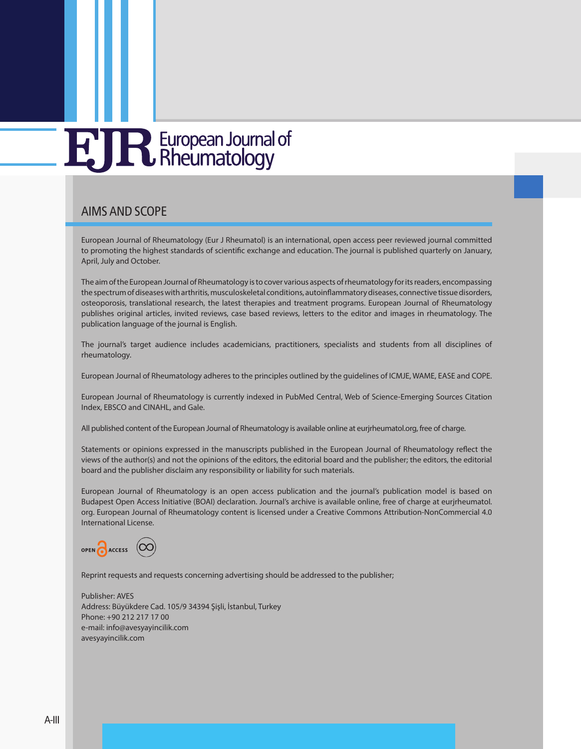### AIMS AND SCOPE

European Journal of Rheumatology (Eur J Rheumatol) is an international, open access peer reviewed journal committed to promoting the highest standards of scientific exchange and education. The journal is published quarterly on January, April, July and October.

The aim of the European Journal of Rheumatology is to cover various aspects of rheumatology for its readers, encompassing the spectrum of diseases with arthritis, musculoskeletal conditions, autoinflammatory diseases, connective tissue disorders, osteoporosis, translational research, the latest therapies and treatment programs. European Journal of Rheumatology publishes original articles, invited reviews, case based reviews, letters to the editor and images in rheumatology. The publication language of the journal is English.

The journal's target audience includes academicians, practitioners, specialists and students from all disciplines of rheumatology.

European Journal of Rheumatology adheres to the principles outlined by the guidelines of ICMJE, WAME, EASE and COPE.

European Journal of Rheumatology is currently indexed in PubMed Central, Web of Science-Emerging Sources Citation Index, EBSCO and CINAHL, and Gale.

All published content of the European Journal of Rheumatology is available online at eurjrheumatol.org, free of charge.

Statements or opinions expressed in the manuscripts published in the European Journal of Rheumatology reflect the views of the author(s) and not the opinions of the editors, the editorial board and the publisher; the editors, the editorial board and the publisher disclaim any responsibility or liability for such materials.

European Journal of Rheumatology is an open access publication and the journal's publication model is based on Budapest Open Access Initiative (BOAI) declaration. Journal's archive is available online, free of charge at eurjrheumatol. org. European Journal of Rheumatology content is licensed under a Creative Commons Attribution-NonCommercial 4.0 International License.



Reprint requests and requests concerning advertising should be addressed to the publisher;

Publisher: AVES Address: Büyükdere Cad. 105/9 34394 Şişli, İstanbul, Turkey Phone: +90 212 217 17 00 e-mail: info@avesyayincilik.com avesyayincilik.com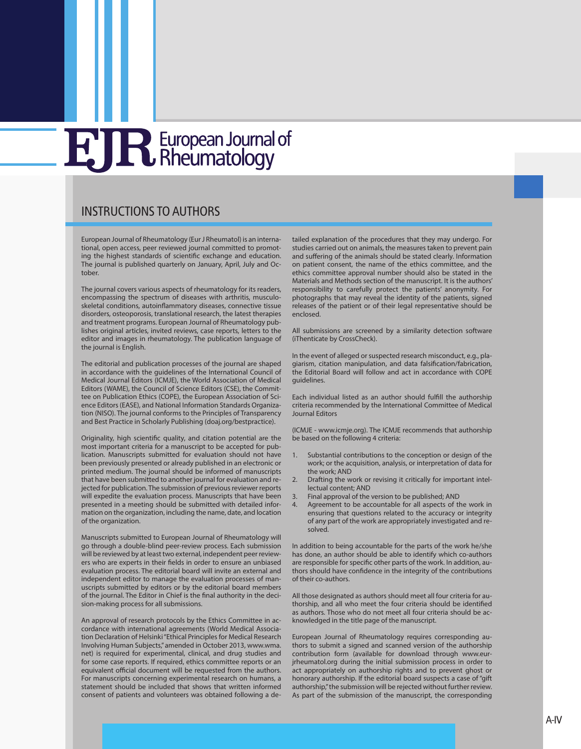### INSTRUCTIONS TO AUTHORS

European Journal of Rheumatology (Eur J Rheumatol) is an international, open access, peer reviewed journal committed to promoting the highest standards of scientific exchange and education. The journal is published quarterly on January, April, July and October.

The journal covers various aspects of rheumatology for its readers, encompassing the spectrum of diseases with arthritis, musculoskeletal conditions, autoinflammatory diseases, connective tissue disorders, osteoporosis, translational research, the latest therapies and treatment programs. European Journal of Rheumatology publishes original articles, invited reviews, case reports, letters to the editor and images in rheumatology. The publication language of the journal is English.

The editorial and publication processes of the journal are shaped in accordance with the guidelines of the International Council of Medical Journal Editors [\(ICMJE\)](http://www.icmje.org/), the World Association of Medical Editors ([WAME\)](http://www.wame.org/), the Council of Science Editors [\(CSE\)](http://www.councilscienceeditors.org/), the Committee on Publication Ethics [\(COPE\)](http://publicationethics.org/), the European Association of Science Editors ([EASE](http://www.ease.org.uk/)), and National Information Standards Organization ([NISO](http://www.niso.org/home/)). The journal conforms to the Principles of Transparency and Best Practice in Scholarly Publishing (doaj.org/bestpractice).

Originality, high scientific quality, and citation potential are the most important criteria for a manuscript to be accepted for publication. Manuscripts submitted for evaluation should not have been previously presented or already published in an electronic or printed medium. The journal should be informed of manuscripts that have been submitted to another journal for evaluation and rejected for publication. The submission of previous reviewer reports will expedite the evaluation process. Manuscripts that have been presented in a meeting should be submitted with detailed information on the organization, including the name, date, and location of the organization.

Manuscripts submitted to European Journal of Rheumatology will go through a double-blind peer-review process. Each submission will be reviewed by at least two external, independent peer reviewers who are experts in their fields in order to ensure an unbiased evaluation process. The editorial board will invite an external and independent editor to manage the evaluation processes of manuscripts submitted by editors or by the editorial board members of the journal. The Editor in Chief is the final authority in the decision-making process for all submissions.

An approval of research protocols by the Ethics Committee in accordance with international agreements (World Medical Association Declaration of Helsinki "Ethical Principles for Medical Research Involving Human Subjects," amended in October 2013, [www.wma.](http://www.wma.net) [net](http://www.wma.net)) is required for experimental, clinical, and drug studies and for some case reports. If required, ethics committee reports or an equivalent official document will be requested from the authors. For manuscripts concerning experimental research on humans, a statement should be included that shows that written informed consent of patients and volunteers was obtained following a detailed explanation of the procedures that they may undergo. For studies carried out on animals, the measures taken to prevent pain and suffering of the animals should be stated clearly. Information on patient consent, the name of the ethics committee, and the ethics committee approval number should also be stated in the Materials and Methods section of the manuscript. It is the authors' responsibility to carefully protect the patients' anonymity. For photographs that may reveal the identity of the patients, signed releases of the patient or of their legal representative should be enclosed.

All submissions are screened by a similarity detection software [\(iThenticate](http://www.ithenticate.com/) by [CrossCheck](http://www.crossref.org/crosscheck/index.html)).

In the event of alleged or suspected research misconduct, e.g., plagiarism, citation manipulation, and data falsification/fabrication, the Editorial Board will follow and act in accordance with [COPE](http://publicationethics.org/) guidelines.

Each individual listed as an author should fulfill the authorship criteria recommended by the International Committee of Medical Journal Editors

[\(ICMJE - www.icmje.org\)](http://www.icmje.org/). The ICMJE recommends that authorship be based on the following 4 criteria:

- 1. Substantial contributions to the conception or design of the work; or the acquisition, analysis, or interpretation of data for the work; AND
- 2. Drafting the work or revising it critically for important intellectual content; AND
- Final approval of the version to be published; AND
- 4. Agreement to be accountable for all aspects of the work in ensuring that questions related to the accuracy or integrity of any part of the work are appropriately investigated and resolved.

In addition to being accountable for the parts of the work he/she has done, an author should be able to identify which co-authors are responsible for specific other parts of the work. In addition, authors should have confidence in the integrity of the contributions of their co-authors.

All those designated as authors should meet all four criteria for authorship, and all who meet the four criteria should be identified as authors. Those who do not meet all four criteria should be acknowledged in the title page of the manuscript.

European Journal of Rheumatology requires corresponding authors to submit a signed and scanned version of the authorship contribution form (available for download through [www.eur](http://www.eurjrheumatol.org/)[jrheumatol.org](http://www.eurjrheumatol.org/) during the initial submission process in order to act appropriately on authorship rights and to prevent ghost or honorary authorship. If the editorial board suspects a case of "gift authorship," the submission will be rejected without further review. As part of the submission of the manuscript, the corresponding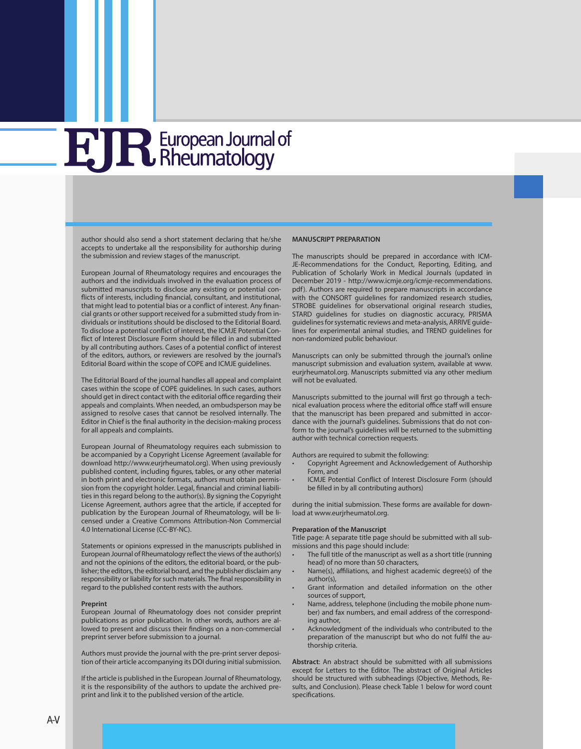author should also send a short statement declaring that he/she accepts to undertake all the responsibility for authorship during the submission and review stages of the manuscript.

European Journal of Rheumatology requires and encourages the authors and the individuals involved in the evaluation process of submitted manuscripts to disclose any existing or potential conflicts of interests, including financial, consultant, and institutional, that might lead to potential bias or a conflict of interest. Any financial grants or other support received for a submitted study from individuals or institutions should be disclosed to the Editorial Board. To disclose a potential conflict of interest, the ICMJE Potential Conflict of Interest Disclosure Form should be filled in and submitted by all contributing authors. Cases of a potential conflict of interest of the editors, authors, or reviewers are resolved by the journal's Editorial Board within the scope of COPE and ICMJE guidelines.

The Editorial Board of the journal handles all appeal and complaint cases within the scope of COPE guidelines. In such cases, authors should get in direct contact with the editorial office regarding their appeals and complaints. When needed, an ombudsperson may be assigned to resolve cases that cannot be resolved internally. The Editor in Chief is the final authority in the decision-making process for all appeals and complaints.

European Journal of Rheumatology requires each submission to be accompanied by a Copyright License Agreement (available for download http://www.eurjrheumatol.org). When using previously published content, including figures, tables, or any other material in both print and electronic formats, authors must obtain permission from the copyright holder. Legal, financial and criminal liabilities in this regard belong to the author(s). By signing the Copyright License Agreement, authors agree that the article, if accepted for publication by the European Journal of Rheumatology, will be licensed under a Creative Commons Attribution-Non Commercial 4.0 International License (CC-BY-NC).

Statements or opinions expressed in the manuscripts published in European Journal of Rheumatology reflect the views of the author(s) and not the opinions of the editors, the editorial board, or the publisher; the editors, the editorial board, and the publisher disclaim any responsibility or liability for such materials. The final responsibility in regard to the published content rests with the authors.

#### **Preprint**

European Journal of Rheumatology does not consider preprint publications as prior publication. In other words, authors are allowed to present and discuss their findings on a non-commercial preprint server before submission to a journal.

Authors must provide the journal with the pre-print server deposition of their article accompanying its DOI during initial submission.

If the article is published in the European Journal of Rheumatology, it is the responsibility of the authors to update the archived preprint and link it to the published version of the article.

#### **MANUSCRIPT PREPARATION**

The manuscripts should be prepared in accordance with ICM-JE-Recommendations for the Conduct, Reporting, Editing, and Publication of Scholarly Work in Medical Journals ([updated in](http://www.icmje.org/icmje-recommendations.pdf) [December 2019 - http://www.icmje.org/icmje-recommendations.](http://www.icmje.org/icmje-recommendations.pdf) [pdf\)](http://www.icmje.org/icmje-recommendations.pdf). Authors are required to prepare manuscripts in accordance with the [CONSORT g](http://www.consort-statement.org/)uidelines for randomized research studies, [STROBE g](http://www.strobe-statement.org/index.php?id=strobe-home)uidelines for observational original research studies, [STARD g](http://www.equator-network.org/reporting-guidelines/stard/)uidelines for studies on diagnostic accuracy, [PRISMA](http://www.prisma-statement.org/) guidelines for systematic reviews and meta-analysis, ARRIVE guidelines for experimental animal studies, and [TREND](http://www.cdc.gov/trendstatement/) guidelines for non-randomized public behaviour.

Manuscripts can only be submitted through the journal's online manuscript submission and evaluation system, available at [www.](http://www.eurjrheumatol.org) [eurjrheumatol.org](http://www.eurjrheumatol.org). Manuscripts submitted via any other medium will not be evaluated.

Manuscripts submitted to the journal will first go through a technical evaluation process where the editorial office staff will ensure that the manuscript has been prepared and submitted in accordance with the journal's guidelines. Submissions that do not conform to the journal's guidelines will be returned to the submitting author with technical correction requests.

Authors are required to submit the following:

- Copyright Agreement and Acknowledgement of Authorship Form, and
- ICMJE Potential Conflict of Interest Disclosure Form (should be filled in by all contributing authors)

during the initial submission. These forms are available for download at [www.eurjrheumatol.org](http://www.eurjrheumatol.org).

#### **Preparation of the Manuscript**

Title page: A separate title page should be submitted with all submissions and this page should include:

- The full title of the manuscript as well as a short title (running head) of no more than 50 characters,
- Name(s), affiliations, and highest academic degree(s) of the author(s),
- Grant information and detailed information on the other sources of support,
- Name, address, telephone (including the mobile phone number) and fax numbers, and email address of the corresponding author,
- Acknowledgment of the individuals who contributed to the preparation of the manuscript but who do not fulfil the authorship criteria.

**Abstract**: An abstract should be submitted with all submissions except for Letters to the Editor. The abstract of Original Articles should be structured with subheadings (Objective, Methods, Results, and Conclusion). Please check Table 1 below for word count specifications.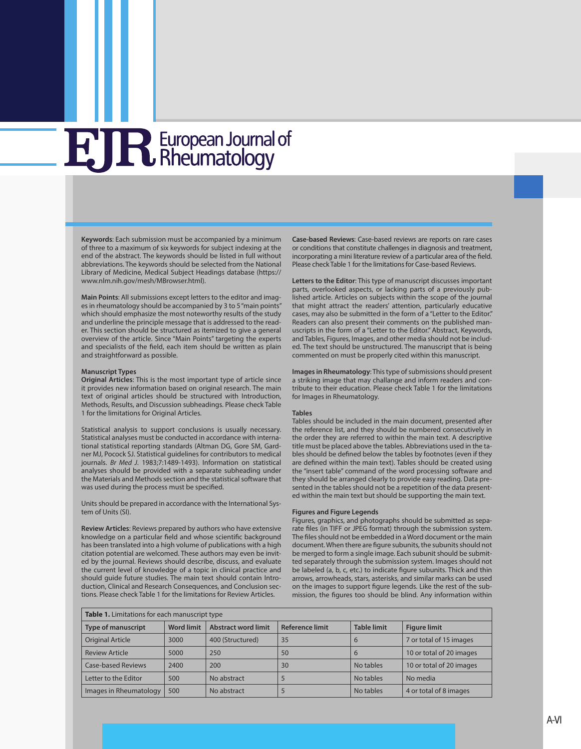## **H JR** European Journal of

**Keywords**: Each submission must be accompanied by a minimum of three to a maximum of six keywords for subject indexing at the end of the abstract. The keywords should be listed in full without abbreviations. The keywords should be selected from the National Library of Medicine, Medical Subject Headings database [\(https://](https://www.nlm.nih.gov/mesh/MBrowser.html) [www.nlm.nih.gov/mesh/MBrowser.html](https://www.nlm.nih.gov/mesh/MBrowser.html)).

**Main Points**: All submissions except letters to the editor and images in rheumatology should be accompanied by 3 to 5 "main points" which should emphasize the most noteworthy results of the study and underline the principle message that is addressed to the reader. This section should be structured as itemized to give a general overview of the article. Since "Main Points" targeting the experts and specialists of the field, each item should be written as plain and straightforward as possible.

#### **Manuscript Types**

**Original Articles**: This is the most important type of article since it provides new information based on original research. The main text of original articles should be structured with Introduction, Methods, Results, and Discussion subheadings. Please check Table 1 for the limitations for Original Articles.

Statistical analysis to support conclusions is usually necessary. Statistical analyses must be conducted in accordance with international statistical reporting standards (Altman DG, Gore SM, Gardner MJ, Pocock SJ. Statistical guidelines for contributors to medical journals. *Br Med J*. 1983;7:1489-1493). Information on statistical analyses should be provided with a separate subheading under the Materials and Methods section and the statistical software that was used during the process must be specified.

Units should be prepared in accordance with the International System of Units (SI).

**Review Articles**: Reviews prepared by authors who have extensive knowledge on a particular field and whose scientific background has been translated into a high volume of publications with a high citation potential are welcomed. These authors may even be invited by the journal. Reviews should describe, discuss, and evaluate the current level of knowledge of a topic in clinical practice and should guide future studies. The main text should contain Introduction, Clinical and Research Consequences, and Conclusion sections. Please check Table 1 for the limitations for Review Articles.

**Case-based Reviews**: Case-based reviews are reports on rare cases or conditions that constitute challenges in diagnosis and treatment, incorporating a mini literature review of a particular area of the field. Please check Table 1 for the limitations for Case-based Reviews.

**Letters to the Editor**: This type of manuscript discusses important parts, overlooked aspects, or lacking parts of a previously published article. Articles on subjects within the scope of the journal that might attract the readers' attention, particularly educative cases, may also be submitted in the form of a "Letter to the Editor." Readers can also present their comments on the published manuscripts in the form of a "Letter to the Editor." Abstract, Keywords, and Tables, Figures, Images, and other media should not be included. The text should be unstructured. The manuscript that is being commented on must be properly cited within this manuscript.

**Images in Rheumatology**: This type of submissions should present a striking image that may challange and inform readers and contribute to their education. Please check Table 1 for the limitations for Images in Rheumatology.

#### **Tables**

Tables should be included in the main document, presented after the reference list, and they should be numbered consecutively in the order they are referred to within the main text. A descriptive title must be placed above the tables. Abbreviations used in the tables should be defined below the tables by footnotes (even if they are defined within the main text). Tables should be created using the "insert table" command of the word processing software and they should be arranged clearly to provide easy reading. Data presented in the tables should not be a repetition of the data presented within the main text but should be supporting the main text.

#### **Figures and Figure Legends**

Figures, graphics, and photographs should be submitted as separate files (in TIFF or JPEG format) through the submission system. The files should not be embedded in a Word document or the main document. When there are figure subunits, the subunits should not be merged to form a single image. Each subunit should be submitted separately through the submission system. Images should not be labeled (a, b, c, etc.) to indicate figure subunits. Thick and thin arrows, arrowheads, stars, asterisks, and similar marks can be used on the images to support figure legends. Like the rest of the submission, the figures too should be blind. Any information within

| Table 1. Limitations for each manuscript type |                   |                            |                        |                    |                          |
|-----------------------------------------------|-------------------|----------------------------|------------------------|--------------------|--------------------------|
| <b>Type of manuscript</b>                     | <b>Word limit</b> | <b>Abstract word limit</b> | <b>Reference limit</b> | <b>Table limit</b> | <b>Figure limit</b>      |
| <b>Original Article</b>                       | 3000              | 400 (Structured)           | 35                     | 6                  | 7 or total of 15 images  |
| <b>Review Article</b>                         | 5000              | 250                        | 50                     | 6                  | 10 or total of 20 images |
| Case-based Reviews                            | 2400              | 200                        | 30                     | No tables          | 10 or total of 20 images |
| Letter to the Editor                          | 500               | No abstract                |                        | No tables          | No media                 |
| Images in Rheumatology                        | 500               | No abstract                | ć                      | No tables          | 4 or total of 8 images   |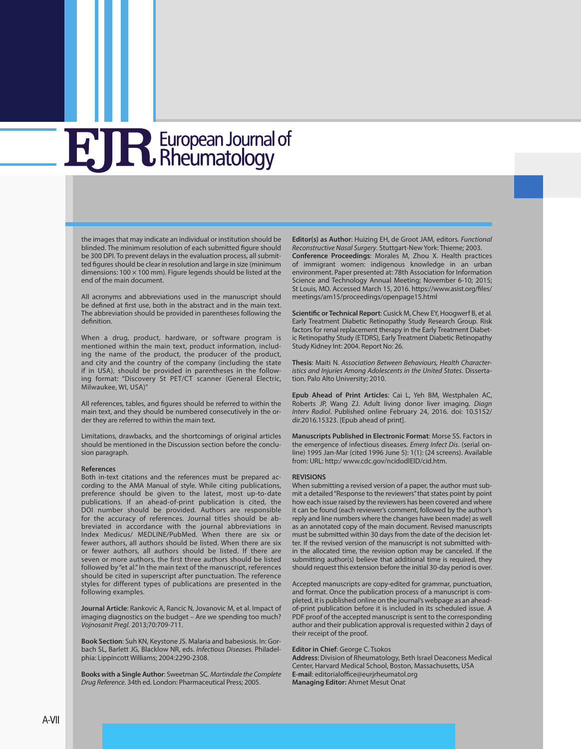## **E JR** European Journal of

the images that may indicate an individual or institution should be blinded. The minimum resolution of each submitted figure should be 300 DPI. To prevent delays in the evaluation process, all submitted figures should be clear in resolution and large in size (minimum dimensions: 100  $\times$  100 mm). Figure legends should be listed at the end of the main document.

All acronyms and abbreviations used in the manuscript should be defined at first use, both in the abstract and in the main text. The abbreviation should be provided in parentheses following the definition.

When a drug, product, hardware, or software program is mentioned within the main text, product information, including the name of the product, the producer of the product, and city and the country of the company (including the state if in USA), should be provided in parentheses in the following format: "Discovery St PET/CT scanner (General Electric, Milwaukee, WI, USA)"

All references, tables, and figures should be referred to within the main text, and they should be numbered consecutively in the order they are referred to within the main text.

Limitations, drawbacks, and the shortcomings of original articles should be mentioned in the Discussion section before the conclusion paragraph.

#### **References**

Both in-text citations and the references must be prepared according to the AMA Manual of style. While citing publications, preference should be given to the latest, most up-to-date publications. If an ahead-of-print publication is cited, the DOI number should be provided. Authors are responsible for the accuracy of references. Journal titles should be abbreviated in accordance with the journal abbreviations in Index Medicus/ MEDLINE/PubMed. When there are six or fewer authors, all authors should be listed. When there are six or fewer authors, all authors should be listed. If there are seven or more authors, the first three authors should be listed followed by "et al." In the main text of the manuscript, references should be cited in superscript after punctuation. The reference styles for different types of publications are presented in the following examples.

**Journal Article**: Rankovic A, Rancic N, Jovanovic M, et al. Impact of imaging diagnostics on the budget – Are we spending too much? *Vojnosanit Pregl*. 2013;70:709-711.

**Book Section**: Suh KN, Keystone JS. Malaria and babesiosis. In: Gorbach SL, Barlett JG, Blacklow NR, eds. *Infectious Diseases*. Philadelphia: Lippincott Williams; 2004:2290-2308.

**Books with a Single Author**: Sweetman SC. *Martindale the Complete Drug Reference*. 34th ed. London: Pharmaceutical Press; 2005.

**Editor(s) as Author**: Huizing EH, de Groot JAM, editors. *Functional Reconstructive Nasal Surgery*. Stuttgart-New York: Thieme; 2003. **Conference Proceedings**: Morales M, Zhou X. Health practices of immigrant women: indigenous knowledge in an urban environment. Paper presented at: 78th Association for Information Science and Technology Annual Meeting; November 6-10; 2015; St Louis, MO. Accessed March 15, 2016. [https://www.asist.org/files/](Morales M, Zhou X. Health practices of immigrant women: indigenous knowledge in an urban environment. Paper presented at: 78th Association for Information Science and Technology Annual Meeting; November  6-10; 2015; St Louis, MO. Accessed March 15, 2016. https://www.asist.org/files/meetings/am15/proceedings/openpage15.html) [meetings/am15/proceedings/openpage15.html](Morales M, Zhou X. Health practices of immigrant women: indigenous knowledge in an urban environment. Paper presented at: 78th Association for Information Science and Technology Annual Meeting; November  6-10; 2015; St Louis, MO. Accessed March 15, 2016. https://www.asist.org/files/meetings/am15/proceedings/openpage15.html)

**Scientific or Technical Report**: Cusick M, Chew EY, Hoogwerf B, et al. Early Treatment Diabetic Retinopathy Study Research Group. Risk factors for renal replacement therapy in the Early Treatment Diabetic Retinopathy Study (ETDRS), Early Treatment Diabetic Retinopathy Study Kidney Int: 2004. Report No: 26.

**Thesis**: Maiti N. *Association Between Behaviours, Health Characteristics and Injuries Among Adolescents in the United States*. Dissertation. Palo Alto University; 2010.

**Epub Ahead of Print Articles**: Cai L, Yeh BM, Westphalen AC, Roberts JP, Wang ZJ. Adult living donor liver imaging. *Diagn Interv Radiol*. Published online February 24, 2016. doi: 10.5152/ dir.2016.15323. [Epub ahead of print].

**Manuscripts Published in Electronic Format**: Morse SS. Factors in the emergence of infectious diseases. *Emerg Infect Dis*. (serial online) 1995 Jan-Mar (cited 1996 June 5): 1(1): (24 screens). Available from: URL: [http:/ www.cdc.gov/ncidodlElD/cid.htm](http://http:/%20www.cdc.gov/ncidodlElD/cid.htm).

#### **REVISIONS**

When submitting a revised version of a paper, the author must submit a detailed "Response to the reviewers" that states point by point how each issue raised by the reviewers has been covered and where it can be found (each reviewer's comment, followed by the author's reply and line numbers where the changes have been made) as well as an annotated copy of the main document. Revised manuscripts must be submitted within 30 days from the date of the decision letter. If the revised version of the manuscript is not submitted within the allocated time, the revision option may be canceled. If the submitting author(s) believe that additional time is required, they should request this extension before the initial 30-day period is over.

Accepted manuscripts are copy-edited for grammar, punctuation, and format. Once the publication process of a manuscript is completed, it is published online on the journal's webpage as an aheadof-print publication before it is included in its scheduled issue. A PDF proof of the accepted manuscript is sent to the corresponding author and their publication approval is requested within 2 days of their receipt of the proof.

#### **Editor in Chief**: George C. Tsokos

**Address**: Division of Rheumatology, Beth Israel Deaconess Medical Center, Harvard Medical School, Boston, Massachusetts, USA **E-mail**: [editorialoffice@eurjrheumatol.org](mailto:editorialoffice@eurjrheumatol.org) **Managing Editor:** Ahmet Mesut Onat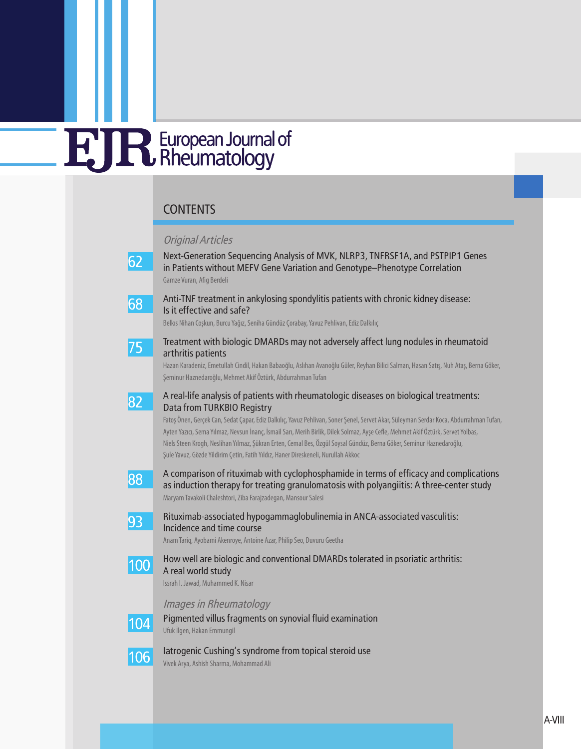### **CONTENTS**

### Original Articles